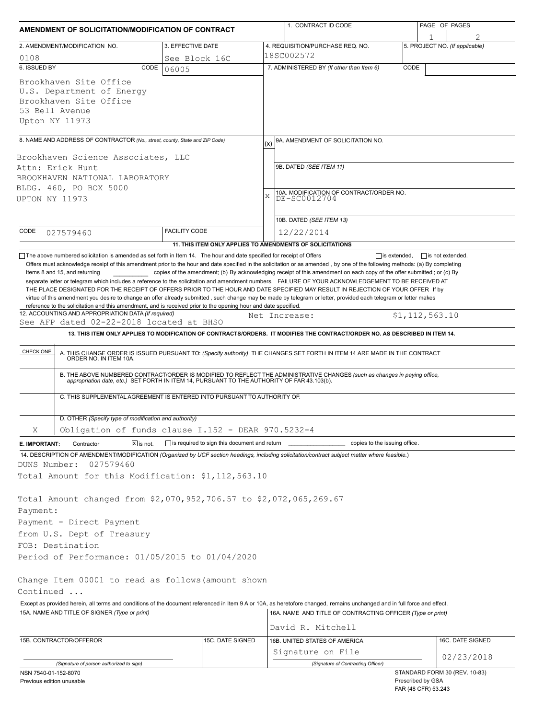| AMENDMENT OF SOLICITATION/MODIFICATION OF CONTRACT |                                                                                                                                                                           |                      |                                              | 1. CONTRACT ID CODE |                                                                                                                                                                                                                                                                                                                                                                                                                                                                                                                                                                                     |                     | PAGE OF PAGES           |                                |
|----------------------------------------------------|---------------------------------------------------------------------------------------------------------------------------------------------------------------------------|----------------------|----------------------------------------------|---------------------|-------------------------------------------------------------------------------------------------------------------------------------------------------------------------------------------------------------------------------------------------------------------------------------------------------------------------------------------------------------------------------------------------------------------------------------------------------------------------------------------------------------------------------------------------------------------------------------|---------------------|-------------------------|--------------------------------|
|                                                    | 2. AMENDMENT/MODIFICATION NO.                                                                                                                                             | 3. EFFECTIVE DATE    |                                              |                     | 4. REQUISITION/PURCHASE REQ. NO.                                                                                                                                                                                                                                                                                                                                                                                                                                                                                                                                                    |                     |                         | 5. PROJECT NO. (If applicable) |
| 0108                                               |                                                                                                                                                                           | See Block 16C        |                                              |                     | 18SC002572                                                                                                                                                                                                                                                                                                                                                                                                                                                                                                                                                                          |                     |                         |                                |
| 6. ISSUED BY                                       | CODE                                                                                                                                                                      | 06005                |                                              |                     | 7. ADMINISTERED BY (If other than Item 6)                                                                                                                                                                                                                                                                                                                                                                                                                                                                                                                                           | CODE                |                         |                                |
| 53 Bell Avenue<br>Upton NY 11973                   | Brookhaven Site Office<br>U.S. Department of Energy<br>Brookhaven Site Office                                                                                             |                      |                                              |                     |                                                                                                                                                                                                                                                                                                                                                                                                                                                                                                                                                                                     |                     |                         |                                |
|                                                    | 8. NAME AND ADDRESS OF CONTRACTOR (No., street, county, State and ZIP Code)                                                                                               |                      |                                              |                     |                                                                                                                                                                                                                                                                                                                                                                                                                                                                                                                                                                                     |                     |                         |                                |
|                                                    |                                                                                                                                                                           |                      |                                              | (x)                 | 9A. AMENDMENT OF SOLICITATION NO.                                                                                                                                                                                                                                                                                                                                                                                                                                                                                                                                                   |                     |                         |                                |
| Attn: Erick Hunt                                   | Brookhaven Science Associates, LLC                                                                                                                                        |                      |                                              |                     | 9B. DATED (SEE ITEM 11)                                                                                                                                                                                                                                                                                                                                                                                                                                                                                                                                                             |                     |                         |                                |
|                                                    | BROOKHAVEN NATIONAL LABORATORY                                                                                                                                            |                      |                                              |                     |                                                                                                                                                                                                                                                                                                                                                                                                                                                                                                                                                                                     |                     |                         |                                |
|                                                    | BLDG. 460, PO BOX 5000                                                                                                                                                    |                      |                                              |                     |                                                                                                                                                                                                                                                                                                                                                                                                                                                                                                                                                                                     |                     |                         |                                |
| UPTON NY 11973                                     |                                                                                                                                                                           |                      |                                              | $\mathbf{x}$        | 10A. MODIFICATION OF CONTRACT/ORDER NO.<br>DE-SC0012704                                                                                                                                                                                                                                                                                                                                                                                                                                                                                                                             |                     |                         |                                |
|                                                    |                                                                                                                                                                           |                      |                                              |                     |                                                                                                                                                                                                                                                                                                                                                                                                                                                                                                                                                                                     |                     |                         |                                |
|                                                    |                                                                                                                                                                           |                      |                                              |                     | 10B. DATED (SEE ITEM 13)                                                                                                                                                                                                                                                                                                                                                                                                                                                                                                                                                            |                     |                         |                                |
| CODE                                               | 027579460                                                                                                                                                                 | <b>FACILITY CODE</b> |                                              |                     | 12/22/2014                                                                                                                                                                                                                                                                                                                                                                                                                                                                                                                                                                          |                     |                         |                                |
|                                                    |                                                                                                                                                                           |                      |                                              |                     | 11. THIS ITEM ONLY APPLIES TO AMENDMENTS OF SOLICITATIONS                                                                                                                                                                                                                                                                                                                                                                                                                                                                                                                           |                     |                         |                                |
|                                                    | The above numbered solicitation is amended as set forth in Item 14. The hour and date specified for receipt of Offers                                                     |                      |                                              |                     |                                                                                                                                                                                                                                                                                                                                                                                                                                                                                                                                                                                     | $\Box$ is extended, | $\Box$ is not extended. |                                |
|                                                    | Items 8 and 15, and returning                                                                                                                                             |                      |                                              |                     | copies of the amendment; (b) By acknowledging receipt of this amendment on each copy of the offer submitted; or (c) By<br>separate letter or telegram which includes a reference to the solicitation and amendment numbers. FAILURE OF YOUR ACKNOWLEDGEMENT TO BE RECEIVED AT<br>THE PLACE DESIGNATED FOR THE RECEIPT OF OFFERS PRIOR TO THE HOUR AND DATE SPECIFIED MAY RESULT IN REJECTION OF YOUR OFFER If by<br>virtue of this amendment you desire to change an offer already submitted, such change may be made by telegram or letter, provided each telegram or letter makes |                     |                         |                                |
|                                                    | reference to the solicitation and this amendment, and is received prior to the opening hour and date specified.<br>12. ACCOUNTING AND APPROPRIATION DATA (If required)    |                      |                                              |                     |                                                                                                                                                                                                                                                                                                                                                                                                                                                                                                                                                                                     |                     |                         |                                |
|                                                    | See AFP dated 02-22-2018 located at BHSO                                                                                                                                  |                      |                                              |                     | Net Increase:                                                                                                                                                                                                                                                                                                                                                                                                                                                                                                                                                                       | \$1, 112, 563.10    |                         |                                |
|                                                    |                                                                                                                                                                           |                      |                                              |                     | 13. THIS ITEM ONLY APPLIES TO MODIFICATION OF CONTRACTS/ORDERS. IT MODIFIES THE CONTRACT/ORDER NO. AS DESCRIBED IN ITEM 14.                                                                                                                                                                                                                                                                                                                                                                                                                                                         |                     |                         |                                |
| CHECK ONE                                          | C. THIS SUPPLEMENTAL AGREEMENT IS ENTERED INTO PURSUANT TO AUTHORITY OF:                                                                                                  |                      |                                              |                     | A. THIS CHANGE ORDER IS ISSUED PURSUANT TO: (Specify authority) THE CHANGES SET FORTH IN ITEM 14 ARE MADE IN THE CONTRACT ORDER NO. IN ITEM 10A.<br>B. THE ABOVE NUMBERED CONTRACT/ORDER IS MODIFIED TO REFLECT THE ADMINISTRATIVE CHANGES (such as changes in paying office,<br>appropriation date, etc.) SET FORTH IN ITEM 14, PURSUANT TO THE AUTHORITY OF FAR 43.103(b).                                                                                                                                                                                                        |                     |                         |                                |
|                                                    |                                                                                                                                                                           |                      |                                              |                     |                                                                                                                                                                                                                                                                                                                                                                                                                                                                                                                                                                                     |                     |                         |                                |
|                                                    | D. OTHER (Specify type of modification and authority)                                                                                                                     |                      |                                              |                     |                                                                                                                                                                                                                                                                                                                                                                                                                                                                                                                                                                                     |                     |                         |                                |
| Χ                                                  | Obligation of funds clause I.152 - DEAR 970.5232-4                                                                                                                        |                      |                                              |                     |                                                                                                                                                                                                                                                                                                                                                                                                                                                                                                                                                                                     |                     |                         |                                |
| E. IMPORTANT:                                      | Contractor<br>$X$ is not.                                                                                                                                                 |                      | is required to sign this document and return |                     | copies to the issuing office.                                                                                                                                                                                                                                                                                                                                                                                                                                                                                                                                                       |                     |                         |                                |
|                                                    |                                                                                                                                                                           |                      |                                              |                     | 14. DESCRIPTION OF AMENDMENT/MODIFICATION (Organized by UCF section headings, including solicitation/contract subject matter where feasible.)                                                                                                                                                                                                                                                                                                                                                                                                                                       |                     |                         |                                |
| DUNS Number:                                       | 027579460                                                                                                                                                                 |                      |                                              |                     |                                                                                                                                                                                                                                                                                                                                                                                                                                                                                                                                                                                     |                     |                         |                                |
|                                                    | Total Amount for this Modification: \$1,112,563.10                                                                                                                        |                      |                                              |                     |                                                                                                                                                                                                                                                                                                                                                                                                                                                                                                                                                                                     |                     |                         |                                |
|                                                    |                                                                                                                                                                           |                      |                                              |                     |                                                                                                                                                                                                                                                                                                                                                                                                                                                                                                                                                                                     |                     |                         |                                |
|                                                    | Total Amount changed from \$2,070,952,706.57 to \$2,072,065,269.67                                                                                                        |                      |                                              |                     |                                                                                                                                                                                                                                                                                                                                                                                                                                                                                                                                                                                     |                     |                         |                                |
| Payment:                                           |                                                                                                                                                                           |                      |                                              |                     |                                                                                                                                                                                                                                                                                                                                                                                                                                                                                                                                                                                     |                     |                         |                                |
|                                                    | Payment - Direct Payment                                                                                                                                                  |                      |                                              |                     |                                                                                                                                                                                                                                                                                                                                                                                                                                                                                                                                                                                     |                     |                         |                                |
|                                                    | from U.S. Dept of Treasury                                                                                                                                                |                      |                                              |                     |                                                                                                                                                                                                                                                                                                                                                                                                                                                                                                                                                                                     |                     |                         |                                |
| FOB: Destination                                   |                                                                                                                                                                           |                      |                                              |                     |                                                                                                                                                                                                                                                                                                                                                                                                                                                                                                                                                                                     |                     |                         |                                |
|                                                    | Period of Performance: 01/05/2015 to 01/04/2020                                                                                                                           |                      |                                              |                     |                                                                                                                                                                                                                                                                                                                                                                                                                                                                                                                                                                                     |                     |                         |                                |
|                                                    |                                                                                                                                                                           |                      |                                              |                     |                                                                                                                                                                                                                                                                                                                                                                                                                                                                                                                                                                                     |                     |                         |                                |
|                                                    | Change Item 00001 to read as follows (amount shown                                                                                                                        |                      |                                              |                     |                                                                                                                                                                                                                                                                                                                                                                                                                                                                                                                                                                                     |                     |                         |                                |
|                                                    |                                                                                                                                                                           |                      |                                              |                     |                                                                                                                                                                                                                                                                                                                                                                                                                                                                                                                                                                                     |                     |                         |                                |
|                                                    |                                                                                                                                                                           |                      |                                              |                     |                                                                                                                                                                                                                                                                                                                                                                                                                                                                                                                                                                                     |                     |                         |                                |
|                                                    | Except as provided herein, all terms and conditions of the document referenced in Item 9 A or 10A, as heretofore changed, remains unchanged and in full force and effect. |                      |                                              |                     |                                                                                                                                                                                                                                                                                                                                                                                                                                                                                                                                                                                     |                     |                         |                                |
|                                                    | 15A. NAME AND TITLE OF SIGNER (Type or print)                                                                                                                             |                      |                                              |                     | 16A. NAME AND TITLE OF CONTRACTING OFFICER (Type or print)                                                                                                                                                                                                                                                                                                                                                                                                                                                                                                                          |                     |                         |                                |
| Continued                                          |                                                                                                                                                                           |                      |                                              |                     | David R. Mitchell                                                                                                                                                                                                                                                                                                                                                                                                                                                                                                                                                                   |                     |                         |                                |
|                                                    | 15B. CONTRACTOR/OFFEROR                                                                                                                                                   |                      | 15C. DATE SIGNED                             |                     | 16B. UNITED STATES OF AMERICA                                                                                                                                                                                                                                                                                                                                                                                                                                                                                                                                                       |                     |                         | 16C. DATE SIGNED               |
|                                                    |                                                                                                                                                                           |                      |                                              |                     |                                                                                                                                                                                                                                                                                                                                                                                                                                                                                                                                                                                     |                     |                         |                                |
|                                                    | (Signature of person authorized to sign)                                                                                                                                  |                      |                                              |                     | Signature on File<br>(Signature of Contracting Officer)                                                                                                                                                                                                                                                                                                                                                                                                                                                                                                                             |                     |                         | 02/23/2018                     |

| Previous edition unusable |
|---------------------------|
|---------------------------|

Prescribed by GSA FAR (48 CFR) 53.243